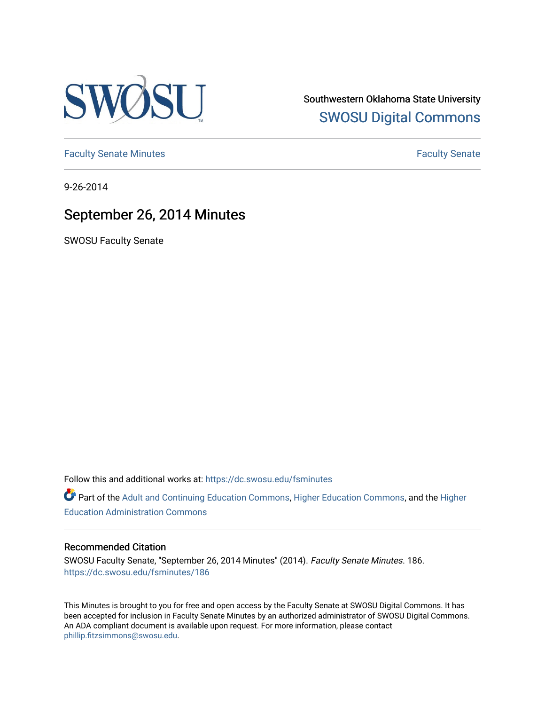

Southwestern Oklahoma State University [SWOSU Digital Commons](https://dc.swosu.edu/) 

[Faculty Senate Minutes](https://dc.swosu.edu/fsminutes) **Faculty** Senate Minutes

9-26-2014

# September 26, 2014 Minutes

SWOSU Faculty Senate

Follow this and additional works at: [https://dc.swosu.edu/fsminutes](https://dc.swosu.edu/fsminutes?utm_source=dc.swosu.edu%2Ffsminutes%2F186&utm_medium=PDF&utm_campaign=PDFCoverPages) 

Part of the [Adult and Continuing Education Commons,](http://network.bepress.com/hgg/discipline/1375?utm_source=dc.swosu.edu%2Ffsminutes%2F186&utm_medium=PDF&utm_campaign=PDFCoverPages) [Higher Education Commons,](http://network.bepress.com/hgg/discipline/1245?utm_source=dc.swosu.edu%2Ffsminutes%2F186&utm_medium=PDF&utm_campaign=PDFCoverPages) and the [Higher](http://network.bepress.com/hgg/discipline/791?utm_source=dc.swosu.edu%2Ffsminutes%2F186&utm_medium=PDF&utm_campaign=PDFCoverPages) [Education Administration Commons](http://network.bepress.com/hgg/discipline/791?utm_source=dc.swosu.edu%2Ffsminutes%2F186&utm_medium=PDF&utm_campaign=PDFCoverPages) 

## Recommended Citation

SWOSU Faculty Senate, "September 26, 2014 Minutes" (2014). Faculty Senate Minutes. 186. [https://dc.swosu.edu/fsminutes/186](https://dc.swosu.edu/fsminutes/186?utm_source=dc.swosu.edu%2Ffsminutes%2F186&utm_medium=PDF&utm_campaign=PDFCoverPages) 

This Minutes is brought to you for free and open access by the Faculty Senate at SWOSU Digital Commons. It has been accepted for inclusion in Faculty Senate Minutes by an authorized administrator of SWOSU Digital Commons. An ADA compliant document is available upon request. For more information, please contact [phillip.fitzsimmons@swosu.edu](mailto:phillip.fitzsimmons@swosu.edu).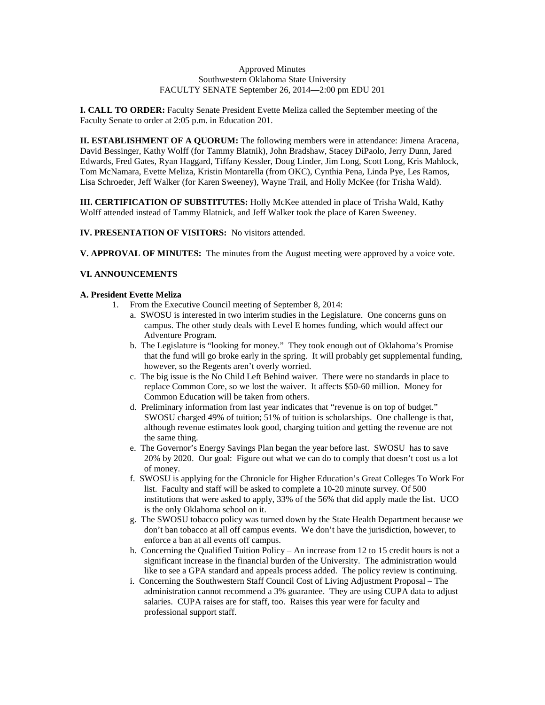#### Approved Minutes Southwestern Oklahoma State University FACULTY SENATE September 26, 2014—2:00 pm EDU 201

**I. CALL TO ORDER:** Faculty Senate President Evette Meliza called the September meeting of the Faculty Senate to order at 2:05 p.m. in Education 201.

**II. ESTABLISHMENT OF A QUORUM:** The following members were in attendance: Jimena Aracena, David Bessinger, Kathy Wolff (for Tammy Blatnik), John Bradshaw, Stacey DiPaolo, Jerry Dunn, Jared Edwards, Fred Gates, Ryan Haggard, Tiffany Kessler, Doug Linder, Jim Long, Scott Long, Kris Mahlock, Tom McNamara, Evette Meliza, Kristin Montarella (from OKC), Cynthia Pena, Linda Pye, Les Ramos, Lisa Schroeder, Jeff Walker (for Karen Sweeney), Wayne Trail, and Holly McKee (for Trisha Wald).

**III. CERTIFICATION OF SUBSTITUTES:** Holly McKee attended in place of Trisha Wald, Kathy Wolff attended instead of Tammy Blatnick, and Jeff Walker took the place of Karen Sweeney.

**IV. PRESENTATION OF VISITORS:** No visitors attended.

**V. APPROVAL OF MINUTES:** The minutes from the August meeting were approved by a voice vote.

## **VI. ANNOUNCEMENTS**

#### **A. President Evette Meliza**

- 1. From the Executive Council meeting of September 8, 2014:
	- a. SWOSU is interested in two interim studies in the Legislature. One concerns guns on campus. The other study deals with Level E homes funding, which would affect our Adventure Program.
	- b. The Legislature is "looking for money." They took enough out of Oklahoma's Promise that the fund will go broke early in the spring. It will probably get supplemental funding, however, so the Regents aren't overly worried.
	- c. The big issue is the No Child Left Behind waiver. There were no standards in place to replace Common Core, so we lost the waiver. It affects \$50-60 million. Money for Common Education will be taken from others.
	- d. Preliminary information from last year indicates that "revenue is on top of budget." SWOSU charged 49% of tuition; 51% of tuition is scholarships. One challenge is that, although revenue estimates look good, charging tuition and getting the revenue are not the same thing.
	- e. The Governor's Energy Savings Plan began the year before last. SWOSU has to save 20% by 2020. Our goal: Figure out what we can do to comply that doesn't cost us a lot of money.
	- f. SWOSU is applying for the Chronicle for Higher Education's Great Colleges To Work For list. Faculty and staff will be asked to complete a 10-20 minute survey. Of 500 institutions that were asked to apply, 33% of the 56% that did apply made the list. UCO is the only Oklahoma school on it.
	- g. The SWOSU tobacco policy was turned down by the State Health Department because we don't ban tobacco at all off campus events. We don't have the jurisdiction, however, to enforce a ban at all events off campus.
	- h. Concerning the Qualified Tuition Policy An increase from 12 to 15 credit hours is not a significant increase in the financial burden of the University. The administration would like to see a GPA standard and appeals process added. The policy review is continuing.
	- i. Concerning the Southwestern Staff Council Cost of Living Adjustment Proposal The administration cannot recommend a 3% guarantee. They are using CUPA data to adjust salaries. CUPA raises are for staff, too. Raises this year were for faculty and professional support staff.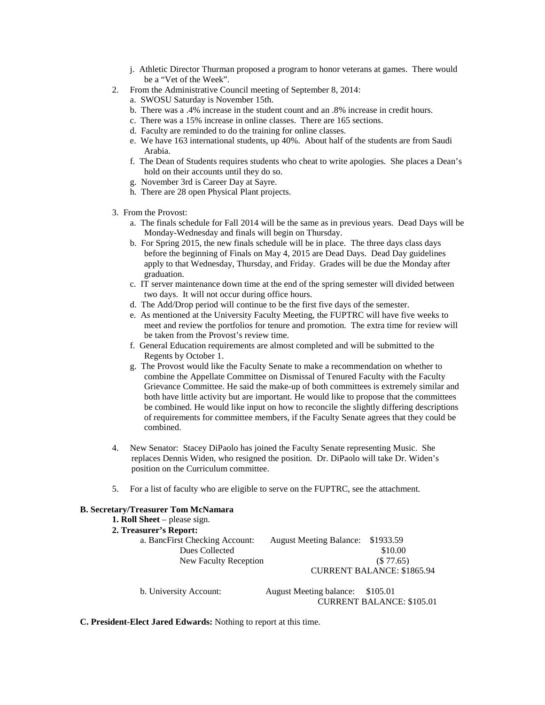- j. Athletic Director Thurman proposed a program to honor veterans at games. There would be a "Vet of the Week".
- 2. From the Administrative Council meeting of September 8, 2014:
	- a. SWOSU Saturday is November 15th.
	- b. There was a .4% increase in the student count and an .8% increase in credit hours.
	- c. There was a 15% increase in online classes. There are 165 sections.
	- d. Faculty are reminded to do the training for online classes.
	- e. We have 163 international students, up 40%. About half of the students are from Saudi Arabia.
	- f. The Dean of Students requires students who cheat to write apologies. She places a Dean's hold on their accounts until they do so.
	- g. November 3rd is Career Day at Sayre.
	- h. There are 28 open Physical Plant projects.
- 3. From the Provost:
	- a. The finals schedule for Fall 2014 will be the same as in previous years. Dead Days will be Monday-Wednesday and finals will begin on Thursday.
	- b. For Spring 2015, the new finals schedule will be in place. The three days class days before the beginning of Finals on May 4, 2015 are Dead Days. Dead Day guidelines apply to that Wednesday, Thursday, and Friday. Grades will be due the Monday after graduation.
	- c. IT server maintenance down time at the end of the spring semester will divided between two days. It will not occur during office hours.
	- d. The Add/Drop period will continue to be the first five days of the semester.
	- e. As mentioned at the University Faculty Meeting, the FUPTRC will have five weeks to meet and review the portfolios for tenure and promotion. The extra time for review will be taken from the Provost's review time.
	- f. General Education requirements are almost completed and will be submitted to the Regents by October 1.
	- g. The Provost would like the Faculty Senate to make a recommendation on whether to combine the Appellate Committee on Dismissal of Tenured Faculty with the Faculty Grievance Committee. He said the make-up of both committees is extremely similar and both have little activity but are important. He would like to propose that the committees be combined. He would like input on how to reconcile the slightly differing descriptions of requirements for committee members, if the Faculty Senate agrees that they could be combined.
- 4. New Senator: Stacey DiPaolo has joined the Faculty Senate representing Music. She replaces Dennis Widen, who resigned the position. Dr. DiPaolo will take Dr. Widen's position on the Curriculum committee.
- 5. For a list of faculty who are eligible to serve on the FUPTRC, see the attachment.

## **B. Secretary/Treasurer Tom McNamara**

**1. Roll Sheet** – please sign. **2. Treasurer's Report:** a. BancFirst Checking Account: August Meeting Balance: \$1933.59 Dues Collected \$10.00 New Faculty Reception (\$ 77.65) CURRENT BALANCE: \$1865.94 b. University Account: August Meeting balance: \$105.01 CURRENT BALANCE: \$105.01

**C. President-Elect Jared Edwards:** Nothing to report at this time.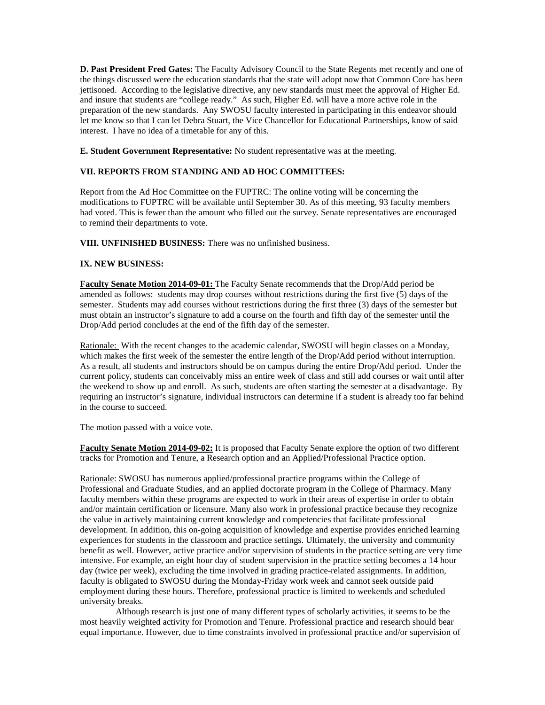**D. Past President Fred Gates:** The Faculty Advisory Council to the State Regents met recently and one of the things discussed were the education standards that the state will adopt now that Common Core has been jettisoned. According to the legislative directive, any new standards must meet the approval of Higher Ed. and insure that students are "college ready." As such, Higher Ed. will have a more active role in the preparation of the new standards. Any SWOSU faculty interested in participating in this endeavor should let me know so that I can let Debra Stuart, the Vice Chancellor for Educational Partnerships, know of said interest. I have no idea of a timetable for any of this.

**E. Student Government Representative:** No student representative was at the meeting.

### **VII. REPORTS FROM STANDING AND AD HOC COMMITTEES:**

Report from the Ad Hoc Committee on the FUPTRC: The online voting will be concerning the modifications to FUPTRC will be available until September 30. As of this meeting, 93 faculty members had voted. This is fewer than the amount who filled out the survey. Senate representatives are encouraged to remind their departments to vote.

**VIII. UNFINISHED BUSINESS:** There was no unfinished business.

#### **IX. NEW BUSINESS:**

**Faculty Senate Motion 2014-09-01:** The Faculty Senate recommends that the Drop/Add period be amended as follows: students may drop courses without restrictions during the first five (5) days of the semester. Students may add courses without restrictions during the first three (3) days of the semester but must obtain an instructor's signature to add a course on the fourth and fifth day of the semester until the Drop/Add period concludes at the end of the fifth day of the semester.

Rationale: With the recent changes to the academic calendar, SWOSU will begin classes on a Monday, which makes the first week of the semester the entire length of the Drop/Add period without interruption. As a result, all students and instructors should be on campus during the entire Drop/Add period. Under the current policy, students can conceivably miss an entire week of class and still add courses or wait until after the weekend to show up and enroll. As such, students are often starting the semester at a disadvantage. By requiring an instructor's signature, individual instructors can determine if a student is already too far behind in the course to succeed.

The motion passed with a voice vote.

**Faculty Senate Motion 2014-09-02:** It is proposed that Faculty Senate explore the option of two different tracks for Promotion and Tenure, a Research option and an Applied/Professional Practice option.

Rationale: SWOSU has numerous applied/professional practice programs within the College of Professional and Graduate Studies, and an applied doctorate program in the College of Pharmacy. Many faculty members within these programs are expected to work in their areas of expertise in order to obtain and/or maintain certification or licensure. Many also work in professional practice because they recognize the value in actively maintaining current knowledge and competencies that facilitate professional development. In addition, this on-going acquisition of knowledge and expertise provides enriched learning experiences for students in the classroom and practice settings. Ultimately, the university and community benefit as well. However, active practice and/or supervision of students in the practice setting are very time intensive. For example, an eight hour day of student supervision in the practice setting becomes a 14 hour day (twice per week), excluding the time involved in grading practice-related assignments. In addition, faculty is obligated to SWOSU during the Monday-Friday work week and cannot seek outside paid employment during these hours. Therefore, professional practice is limited to weekends and scheduled university breaks.

 Although research is just one of many different types of scholarly activities, it seems to be the most heavily weighted activity for Promotion and Tenure. Professional practice and research should bear equal importance. However, due to time constraints involved in professional practice and/or supervision of